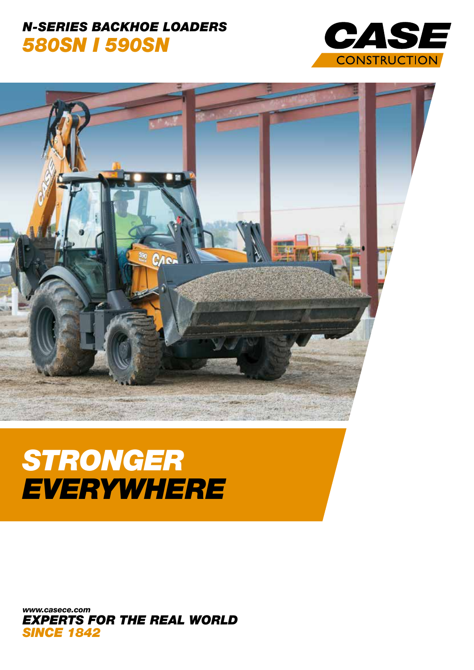## **N-SERIES BACKHOE LOADERS 580SN I 590SN**





# **STRONGER** EVERYWHERE

www.casece.com **EXPERTS FOR THE REAL WORLD SINCE 1842**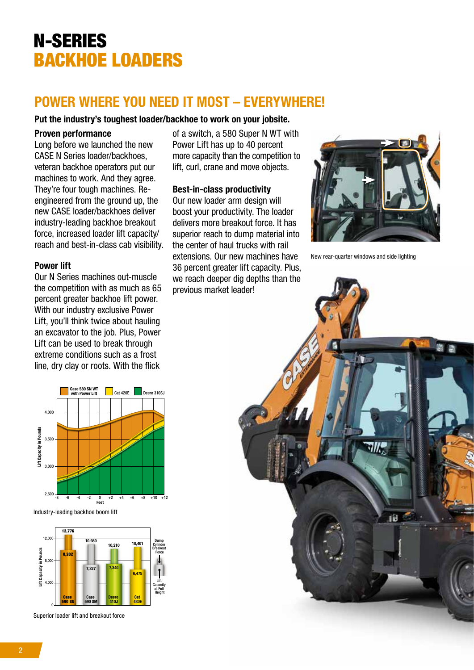# N-SERIES BACKHOE LOADERS

### POWER WHERE YOU NEED IT MOST – EVERYWHERE!

#### Put the industry's toughest loader/backhoe to work on your jobsite.

#### Proven performance

Long before we launched the new CASE N Series loader/backhoes, veteran backhoe operators put our machines to work. And they agree. They're four tough machines. Reengineered from the ground up, the new CASE loader/backhoes deliver industry-leading backhoe breakout force, increased loader lift capacity/ reach and best-in-class cab visibility.

#### Power lift

Our N Series machines out-muscle the competition with as much as 65 percent greater backhoe lift power. With our industry exclusive Power Lift, you'll think twice about hauling an excavator to the job. Plus, Power Lift can be used to break through extreme conditions such as a frost line, dry clay or roots. With the flick





Superior loader lift and breakout force

of a switch, a 580 Super N WT with Power Lift has up to 40 percent more capacity than the competition to lift, curl, crane and move objects.

#### Best-in-class productivity

Our new loader arm design will boost your productivity. The loader delivers more breakout force. It has superior reach to dump material into the center of haul trucks with rail extensions. Our new machines have 36 percent greater lift capacity. Plus, we reach deeper dig depths than the previous market leader!



New rear-quarter windows and side lighting

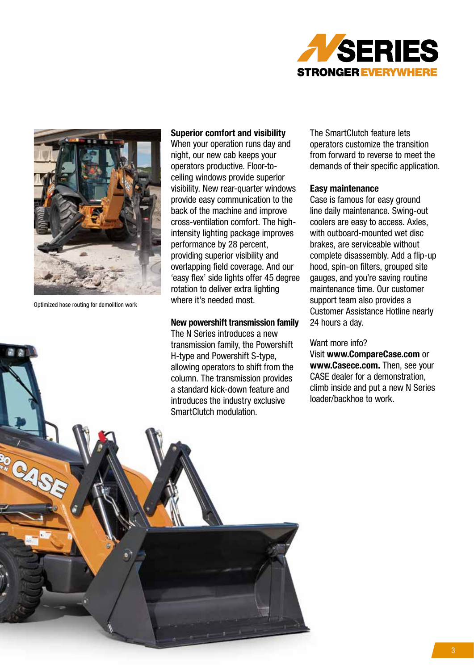



Optimized hose routing for demolition work

#### Superior comfort and visibility

When your operation runs day and night, our new cab keeps your operators productive. Floor-toceiling windows provide superior visibility. New rear-quarter windows provide easy communication to the back of the machine and improve cross-ventilation comfort. The highintensity lighting package improves performance by 28 percent, providing superior visibility and overlapping field coverage. And our 'easy flex' side lights offer 45 degree rotation to deliver extra lighting where it's needed most.

#### New powershift transmission family

The N Series introduces a new transmission family, the Powershift H-type and Powershift S-type, allowing operators to shift from the column. The transmission provides a standard kick-down feature and introduces the industry exclusive SmartClutch modulation.

The SmartClutch feature lets operators customize the transition from forward to reverse to meet the demands of their specific application.

#### Easy maintenance

Case is famous for easy ground line daily maintenance. Swing-out coolers are easy to access. Axles, with outboard-mounted wet disc brakes, are serviceable without complete disassembly. Add a flip-up hood, spin-on filters, grouped site gauges, and you're saving routine maintenance time. Our customer support team also provides a Customer Assistance Hotline nearly 24 hours a day.

#### Want more info?

Visit www.CompareCase.com or www.Casece.com. Then, see your CASE dealer for a demonstration, climb inside and put a new N Series loader/backhoe to work.